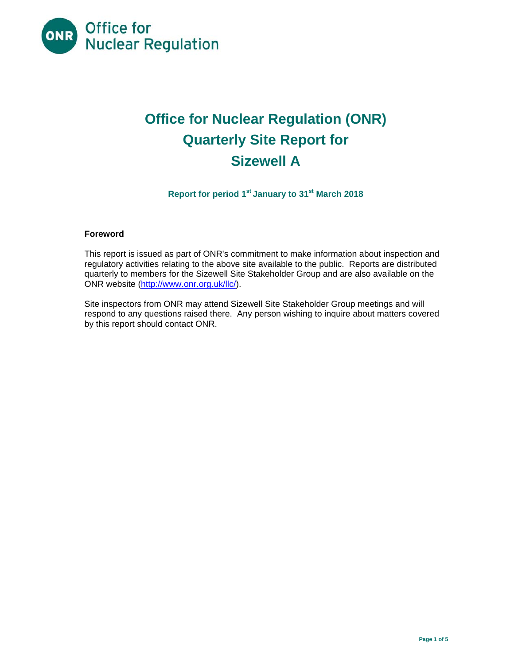

# **Office for Nuclear Regulation (ONR) Quarterly Site Report for Sizewell A**

**Report for period 1st January to 31st March 2018** 

## **Foreword**

This report is issued as part of ONR's commitment to make information about inspection and regulatory activities relating to the above site available to the public. Reports are distributed quarterly to members for the Sizewell Site Stakeholder Group and are also available on the ONR website (http://www.onr.org.uk/llc/).

Site inspectors from ONR may attend Sizewell Site Stakeholder Group meetings and will respond to any questions raised there. Any person wishing to inquire about matters covered by this report should contact ONR.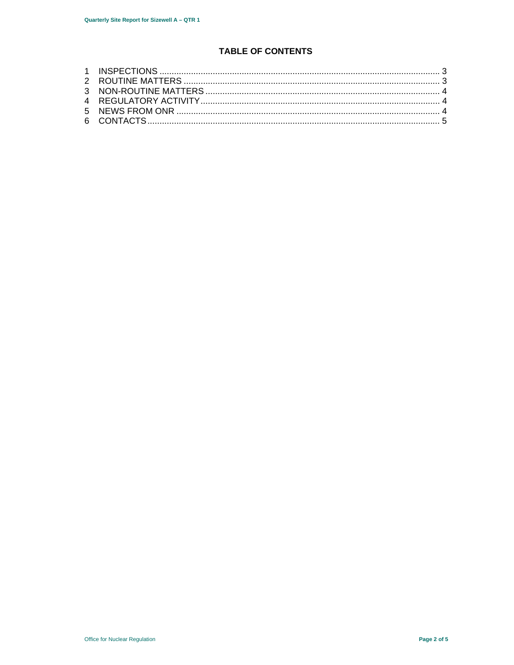## **TABLE OF CONTENTS**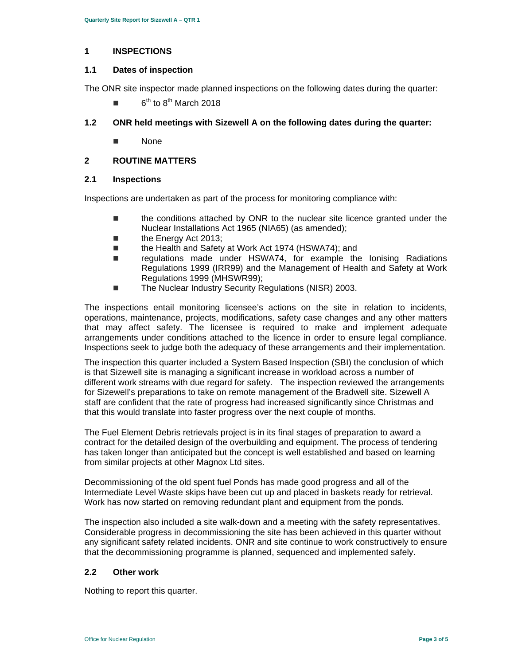#### **1 INSPECTIONS**

#### **1.1 Dates of inspection**

The ONR site inspector made planned inspections on the following dates during the quarter:

 $6<sup>th</sup>$  to  $8<sup>th</sup>$  March 2018

## **1.2 ONR held meetings with Sizewell A on the following dates during the quarter:**

■ None

#### **2 ROUTINE MATTERS**

#### **2.1 Inspections**

Inspections are undertaken as part of the process for monitoring compliance with:

- the conditions attached by ONR to the nuclear site licence granted under the Nuclear Installations Act 1965 (NIA65) (as amended);
- the Energy Act 2013;
- the Health and Safety at Work Act 1974 (HSWA74); and
- regulations made under HSWA74, for example the lonising Radiations Regulations 1999 (IRR99) and the Management of Health and Safety at Work Regulations 1999 (MHSWR99);
- The Nuclear Industry Security Regulations (NISR) 2003.

The inspections entail monitoring licensee's actions on the site in relation to incidents, operations, maintenance, projects, modifications, safety case changes and any other matters that may affect safety. The licensee is required to make and implement adequate arrangements under conditions attached to the licence in order to ensure legal compliance. Inspections seek to judge both the adequacy of these arrangements and their implementation.

The inspection this quarter included a System Based Inspection (SBI) the conclusion of which is that Sizewell site is managing a significant increase in workload across a number of different work streams with due regard for safety. The inspection reviewed the arrangements for Sizewell's preparations to take on remote management of the Bradwell site. Sizewell A staff are confident that the rate of progress had increased significantly since Christmas and that this would translate into faster progress over the next couple of months.

The Fuel Element Debris retrievals project is in its final stages of preparation to award a contract for the detailed design of the overbuilding and equipment. The process of tendering has taken longer than anticipated but the concept is well established and based on learning from similar projects at other Magnox Ltd sites.

Decommissioning of the old spent fuel Ponds has made good progress and all of the Intermediate Level Waste skips have been cut up and placed in baskets ready for retrieval. Work has now started on removing redundant plant and equipment from the ponds.

The inspection also included a site walk-down and a meeting with the safety representatives. Considerable progress in decommissioning the site has been achieved in this quarter without any significant safety related incidents. ONR and site continue to work constructively to ensure that the decommissioning programme is planned, sequenced and implemented safely.

## **2.2 Other work**

Nothing to report this quarter.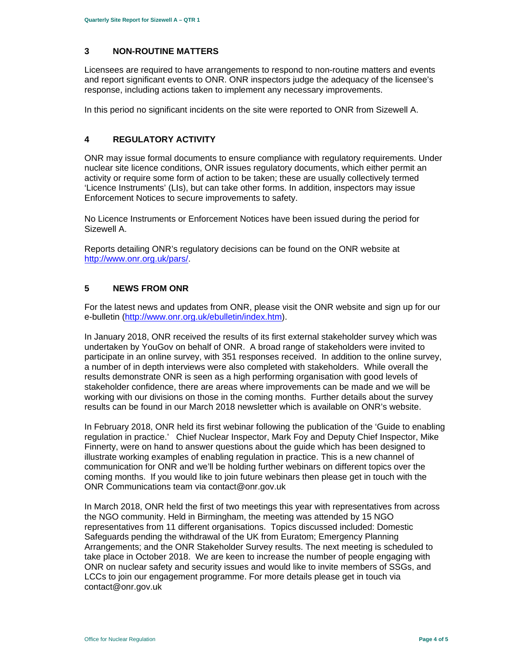## **3 NON-ROUTINE MATTERS**

Licensees are required to have arrangements to respond to non-routine matters and events and report significant events to ONR. ONR inspectors judge the adequacy of the licensee's response, including actions taken to implement any necessary improvements.

In this period no significant incidents on the site were reported to ONR from Sizewell A.

## **4 REGULATORY ACTIVITY**

ONR may issue formal documents to ensure compliance with regulatory requirements. Under nuclear site licence conditions, ONR issues regulatory documents, which either permit an activity or require some form of action to be taken; these are usually collectively termed 'Licence Instruments' (LIs), but can take other forms. In addition, inspectors may issue Enforcement Notices to secure improvements to safety.

No Licence Instruments or Enforcement Notices have been issued during the period for Sizewell A.

Reports detailing ONR's regulatory decisions can be found on the ONR website at http://www.onr.org.uk/pars/.

#### **5 NEWS FROM ONR**

For the latest news and updates from ONR, please visit the ONR website and sign up for our e-bulletin (http://www.onr.org.uk/ebulletin/index.htm).

In January 2018, ONR received the results of its first external stakeholder survey which was undertaken by YouGov on behalf of ONR. A broad range of stakeholders were invited to participate in an online survey, with 351 responses received. In addition to the online survey, a number of in depth interviews were also completed with stakeholders. While overall the results demonstrate ONR is seen as a high performing organisation with good levels of stakeholder confidence, there are areas where improvements can be made and we will be working with our divisions on those in the coming months. Further details about the survey results can be found in our March 2018 newsletter which is available on ONR's website.

In February 2018, ONR held its first webinar following the publication of the 'Guide to enabling regulation in practice.' Chief Nuclear Inspector, Mark Foy and Deputy Chief Inspector, Mike Finnerty, were on hand to answer questions about the guide which has been designed to illustrate working examples of enabling regulation in practice. This is a new channel of communication for ONR and we'll be holding further webinars on different topics over the coming months. If you would like to join future webinars then please get in touch with the ONR Communications team via contact@onr.gov.uk

In March 2018, ONR held the first of two meetings this year with representatives from across the NGO community. Held in Birmingham, the meeting was attended by 15 NGO representatives from 11 different organisations. Topics discussed included: Domestic Safeguards pending the withdrawal of the UK from Euratom; Emergency Planning Arrangements; and the ONR Stakeholder Survey results. The next meeting is scheduled to take place in October 2018. We are keen to increase the number of people engaging with ONR on nuclear safety and security issues and would like to invite members of SSGs, and LCCs to join our engagement programme. For more details please get in touch via contact@onr.gov.uk